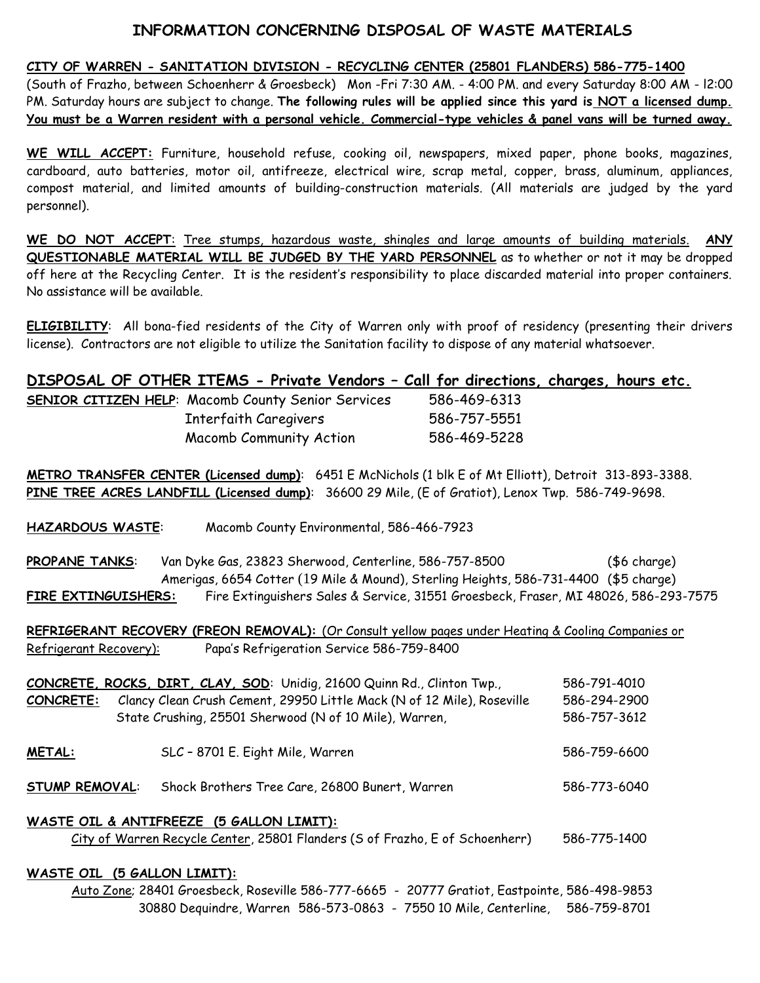## **INFORMATION CONCERNING DISPOSAL OF WASTE MATERIALS**

## **CITY OF WARREN - SANITATION DIVISION - RECYCLING CENTER (25801 FLANDERS) 586-775-1400**

(South of Frazho, between Schoenherr & Groesbeck) Mon -Fri 7:30 AM. - 4:00 PM. and every Saturday 8:00 AM - l2:00 PM. Saturday hours are subject to change. **The following rules will be applied since this yard is NOT a licensed dump. You must be a Warren resident with a personal vehicle. Commercial-type vehicles & panel vans will be turned away.**

**WE WILL ACCEPT:** Furniture, household refuse, cooking oil, newspapers, mixed paper, phone books, magazines, cardboard, auto batteries, motor oil, antifreeze, electrical wire, scrap metal, copper, brass, aluminum, appliances, compost material, and limited amounts of building-construction materials. (All materials are judged by the yard personnel).

**WE DO NOT ACCEPT**: Tree stumps, hazardous waste, shingles and large amounts of building materials. **ANY QUESTIONABLE MATERIAL WILL BE JUDGED BY THE YARD PERSONNEL** as to whether or not it may be dropped off here at the Recycling Center. It is the resident's responsibility to place discarded material into proper containers. No assistance will be available.

**ELIGIBILITY**: All bona-fied residents of the City of Warren only with proof of residency (presenting their drivers license). Contractors are not eligible to utilize the Sanitation facility to dispose of any material whatsoever.

## **DISPOSAL OF OTHER ITEMS - Private Vendors – Call for directions, charges, hours etc.**

| <b>SENIOR CITIZEN HELP:</b> Macomb County Senior Services | 586-469-6313 |
|-----------------------------------------------------------|--------------|
| Interfaith Caregivers                                     | 586-757-5551 |
| <b>Macomb Community Action</b>                            | 586-469-5228 |

**METRO TRANSFER CENTER (Licensed dump)**: 6451 E McNichols (1 blk E of Mt Elliott), Detroit 313-893-3388. **PINE TREE ACRES LANDFILL (Licensed dump)**: 36600 29 Mile, (E of Gratiot), Lenox Twp. 586-749-9698.

**HAZARDOUS WASTE**: Macomb County Environmental, 586-466-7923

**PROPANE TANKS:** Van Dyke Gas, 23823 Sherwood, Centerline, 586-757-8500 (\$6 charge) Amerigas, 6654 Cotter (19 Mile & Mound), Sterling Heights, 586-731-4400 (\$5 charge) **FIRE EXTINGUISHERS:** Fire Extinguishers Sales & Service, 31551 Groesbeck, Fraser, MI 48026, 586-293-7575

**REFRIGERANT RECOVERY (FREON REMOVAL):** (Or Consult yellow pages under Heating & Cooling Companies or Refrigerant Recovery): Papa's Refrigeration Service 586-759-8400

| CONCRETE, ROCKS, DIRT, CLAY, SOD: Unidig, 21600 Quinn Rd., Clinton Twp.,<br>Clancy Clean Crush Cement, 29950 Little Mack (N of 12 Mile), Roseville<br>CONCRETE:<br>State Crushing, 25501 Sherwood (N of 10 Mile), Warren, |                                                | 586-791-4010<br>586-294-2900<br>586-757-3612 |  |
|---------------------------------------------------------------------------------------------------------------------------------------------------------------------------------------------------------------------------|------------------------------------------------|----------------------------------------------|--|
| <b>METAL:</b>                                                                                                                                                                                                             | SLC - 8701 E. Eight Mile, Warren               | 586-759-6600                                 |  |
| <b>STUMP REMOVAL:</b>                                                                                                                                                                                                     | Shock Brothers Tree Care, 26800 Bunert, Warren | 586-773-6040                                 |  |
| WASTE OIL & ANTIFREEZE (5 GALLON LIMIT):<br>City of Warren Recycle Center, 25801 Flanders (S of Frazho, E of Schoenherr)<br>586-775-1400                                                                                  |                                                |                                              |  |

## **WASTE OIL (5 GALLON LIMIT):**

Auto Zone; 28401 Groesbeck, Roseville 586-777-6665 - 20777 Gratiot, Eastpointe, 586-498-9853 30880 Dequindre, Warren 586-573-0863 - 7550 10 Mile, Centerline, 586-759-8701